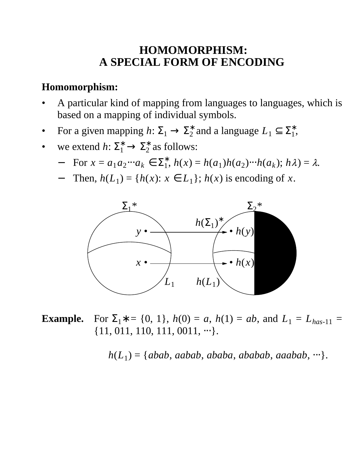## **HOMOMORPHISM: A SPECIAL FORM OF ENCODING**

#### **Homomorphism:**

- A particular kind of mapping from languages to languages, which is based on a mapping of individual symbols.
- For a given mapping  $h: \Sigma_1 \to \Sigma_2^*$  and a language  $L_1 \subseteq \Sigma_1^*$ ,
- we extend  $h: \Sigma_1^* \to \Sigma_2^*$  as follows:
	- $-$  For  $x = a_1 a_2 \cdots a_k \in \Sigma_1^*$ ,  $h(x) = h(a_1)h(a_2) \cdots h(a_k)$ ;  $h\lambda$ ) =  $\lambda$ .
	- − Then,  $h(L_1) = {h(x): x \in L_1}$ ;  $h(x)$  is encoding of *x*.



**Example.** For  $\Sigma_1$ <sup>\*</sup> = {0, 1}, *h*(0) = *a*, *h*(1) = *ab*, and *L*<sub>1</sub> = *L*<sub>*has*-11</sub> =  $\{11, 011, 110, 111, 0011, \cdots\}.$ 

*h*(*L*<sup>1</sup> )={*abab*, *aabab*, *ababa*, *ababab*, *aaabab*, ⋅⋅⋅}.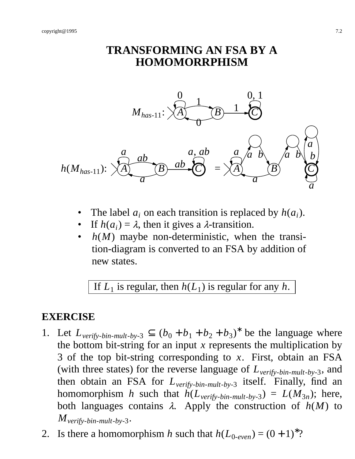### **TRANSFORMING AN FSA BY A HOMOMORRPHISM**



- The label  $a_i$  on each transition is replaced by  $h(a_i)$ .
- If  $h(a_i) = \lambda$ , then it gives a  $\lambda$ -transition.
- *h(M)* maybe non-deterministic, when the transition-diagram is converted to an FSA by addition of new states.

If  $L_1$  is regular, then  $h(L_1)$  is regular for any  $h$ .

#### **EXERCISE**

- 1. Let  $L_{\text{verify-bin-mult-by-3}} \subseteq (b_0 + b_1 + b_2 + b_3)^*$  be the language where the bottom bit-string for an input *x* represents the multiplication by 3 of the top bit-string corresponding to *x*. First, obtain an FSA (with three states) for the reverse language of *Lverify*-*bin*-*mult*-*by*-3, and then obtain an FSA for *Lverify*-*bin*-*mult*-*by*-3 itself. Finally, find an homomorphism *h* such that  $h(L_{\text{verify-bin-mult-by-3}}) = L(M_{3n})$ ; here, both languages contains  $\lambda$ . Apply the construction of  $h(M)$  to  $M_{\text{verify-bin-mult-by-3}}$ .
- 2. Is there a homomorphism *h* such that  $h(L_{0\text{-}even}) = (0 + 1)^{*}$ ?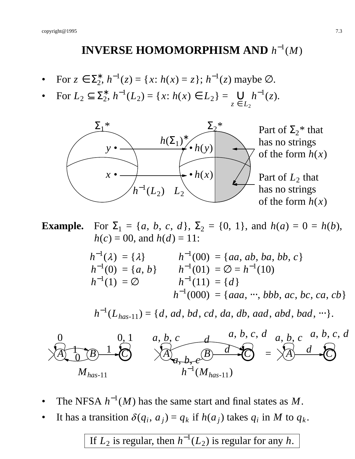# **INVERSE HOMOMORPHISM AND**  $h^{-1}(M)$

- For  $z \in \Sigma_2^*$ ,  $h^{-1}(z) = \{x: h(x) = z\}$ ;  $h^{-1}(z)$  maybe  $\varnothing$ .
- For  $L_2 \subseteq \Sigma_2^*$ ,  $h^{-1}(L_2) = \{x: h(x) \in L_2\} =$ *z* ∈ *L*<sup>2</sup>  $∪ _{r} h^{-1}(z).$



**Example.** For  $\Sigma_1 = \{a, b, c, d\}, \Sigma_2 = \{0, 1\}, \text{ and } h(a) = 0 = h(b),$  $h(c) = 00$ , and  $h(d) = 11$ :

$$
h^{-1}(\lambda) = \{\lambda\} \qquad h^{-1}(00) = \{aa, ab, ba, bb, c\}
$$
  
\n
$$
h^{-1}(0) = \{a, b\} \qquad h^{-1}(01) = \emptyset = h^{-1}(10)
$$
  
\n
$$
h^{-1}(1) = \emptyset \qquad h^{-1}(11) = \{d\}
$$
  
\n
$$
h^{-1}(000) = \{aaa, \dots, bbb, ac, bc, ca, cb\}
$$

*h* −1 (*Lhas*-11)={*d*, *ad*, *bd*, *cd*, *da*, *db*, *aad*, *abd*, *bad*, ⋅⋅⋅}.



- The NFSA  $h^{-1}(M)$  has the same start and final states as M.
- It has a transition  $\delta(q_i, a_j) = q_k$  if  $h(a_j)$  takes  $q_i$  in M to  $q_k$ .

If  $L_2$  is regular, then  $h^{-1}(L_2)$  is regular for any h.